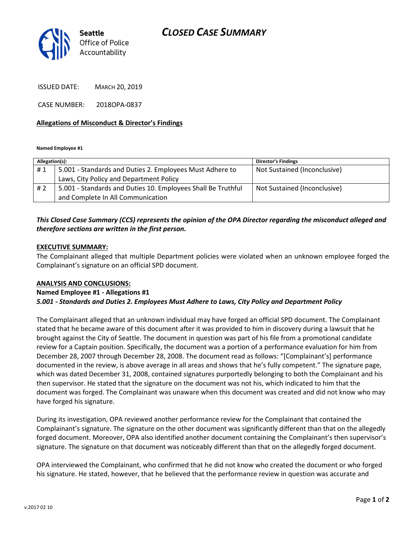## CLOSED CASE SUMMARY



ISSUED DATE: MARCH 20, 2019

CASE NUMBER: 2018OPA-0837

#### Allegations of Misconduct & Director's Findings

Named Employee #1

| Allegation(s): |                                                              | <b>Director's Findings</b>   |
|----------------|--------------------------------------------------------------|------------------------------|
| #1             | 5.001 - Standards and Duties 2. Employees Must Adhere to     | Not Sustained (Inconclusive) |
|                | Laws, City Policy and Department Policy                      |                              |
| # 2            | 5.001 - Standards and Duties 10. Employees Shall Be Truthful | Not Sustained (Inconclusive) |
|                | and Complete In All Communication                            |                              |
|                |                                                              |                              |

### This Closed Case Summary (CCS) represents the opinion of the OPA Director regarding the misconduct alleged and therefore sections are written in the first person.

#### EXECUTIVE SUMMARY:

The Complainant alleged that multiple Department policies were violated when an unknown employee forged the Complainant's signature on an official SPD document.

#### ANALYSIS AND CONCLUSIONS:

# Named Employee #1 - Allegations #1

## 5.001 - Standards and Duties 2. Employees Must Adhere to Laws, City Policy and Department Policy

The Complainant alleged that an unknown individual may have forged an official SPD document. The Complainant stated that he became aware of this document after it was provided to him in discovery during a lawsuit that he brought against the City of Seattle. The document in question was part of his file from a promotional candidate review for a Captain position. Specifically, the document was a portion of a performance evaluation for him from December 28, 2007 through December 28, 2008. The document read as follows: "[Complainant's] performance documented in the review, is above average in all areas and shows that he's fully competent." The signature page, which was dated December 31, 2008, contained signatures purportedly belonging to both the Complainant and his then supervisor. He stated that the signature on the document was not his, which indicated to him that the document was forged. The Complainant was unaware when this document was created and did not know who may have forged his signature.

During its investigation, OPA reviewed another performance review for the Complainant that contained the Complainant's signature. The signature on the other document was significantly different than that on the allegedly forged document. Moreover, OPA also identified another document containing the Complainant's then supervisor's signature. The signature on that document was noticeably different than that on the allegedly forged document.

OPA interviewed the Complainant, who confirmed that he did not know who created the document or who forged his signature. He stated, however, that he believed that the performance review in question was accurate and